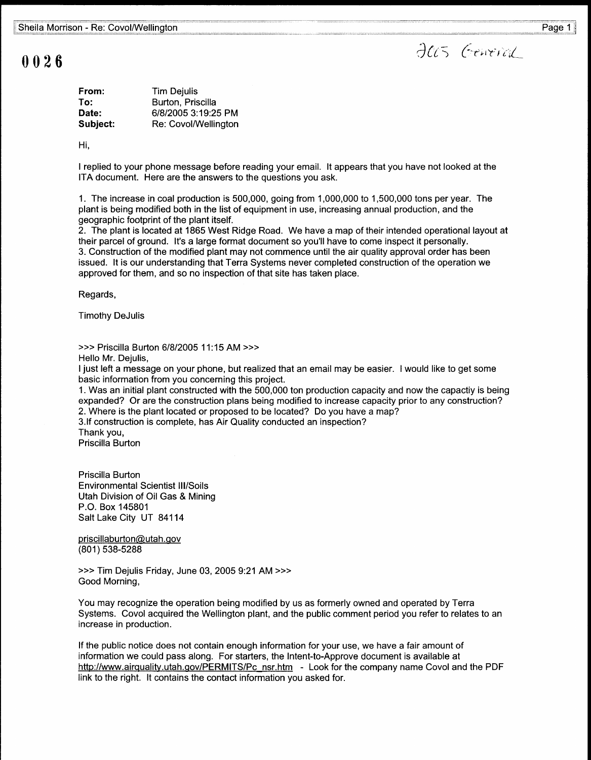## 0026

Jas General

| From:    | <b>Tim Dejulis</b>   |
|----------|----------------------|
| To:      | Burton, Priscilla    |
| Date:    | 6/8/2005 3:19:25 PM  |
| Subject: | Re: Covol/Wellington |

Hi,

I replied to your phone message before reading your email . It appears that you have not looked at the ITA document. Here are the answers to the questions you ask .

<sup>1</sup> . The increase in coal production is 500,000, going from 1,000,000 to 1,500,000 tons per year . The plant is being modified both in the list of equipment in use, increasing annual production, and the geographic footprint of the plant itself.

2. The plant is located at 1865 West Ridge Road. We have a map of their intended operational layout at their parcel of ground. It's a large format document so you'll have to come inspect it personally. 3 . Construction of the modified plant may not commence until the air quality approval order has been issued. It is our understanding that Terra Systems never completed construction of the operation we approved for them, and so no inspection of that site has taken place .

Regards,

Timothy DeJulis

>>> Priscilla Burton 6/8/2005 11 :15 AM >>>

Hello Mr. Dejulis,

I just left a message on your phone, but realized that an email may be easier . I would like to get some basic information from you concerning this project.

1 . Was an initial plant constructed with the 500,000 ton production capacity and now the capactiy is being expanded? Or are the construction plans being modified to increase capacity prior to any construction? 2. Where is the plant located or proposed to be located? Do you have a map?

3 .If construction is complete, has Air Quality conducted an inspection?

Thank you,

Priscilla Burton

Priscilla Burton Environmental Scientist III/Soils Utah Division of Oil Gas & Mining P.O . Box 145801 Salt Lake City UT 84114

priscillaburton@utah.gov (801) 538-5288

>>> Tim Dejulis Friday, June 03, 2005 9:21 AM >>> Good Morning,

You may recognize the operation being modified by us as formerly owned and operated by Terra Systems. Covol acquired the Wellington plant, and the public comment period you refer to relates to an increase in production.

If the public notice does not contain enough information for your use, we have a fair amount of information we could pass along. For starters, the Intent-to-Approve document is available at http://www.airquality.utah.gov/PERMITS/Pc nsr.htm - Look for the company name Covol and the PDF link to the right. It contains the contact information you asked for.

Page 1